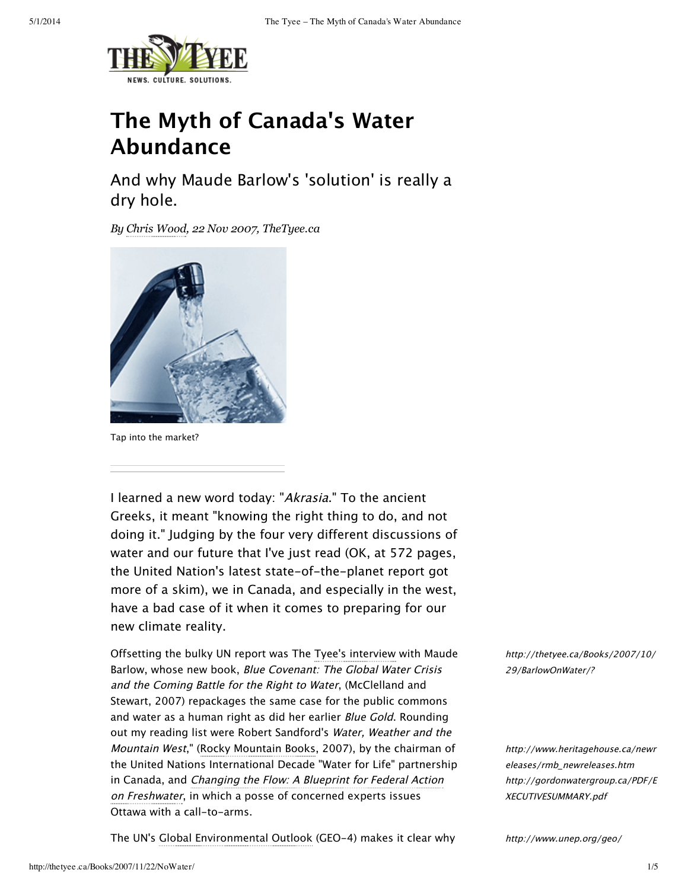

# **The Myth of Canada's Water Abundance**

And why Maude Barlow's 'solution' is really a dry hole.

*By Chris [Wood,](http://thetyee.ca/Bios/Chris__Wood/) 22 Nov 2007, TheTyee.ca*



Tap into the market?

I learned a new word today: "Akrasia." To the ancient Greeks, it meant "knowing the right thing to do, and not doing it." Judging by the four very different discussions of water and our future that I've just read (OK, at 572 pages, the United Nation's latest state-of-the-planet report got more of a skim), we in Canada, and especially in the west, have a bad case of it when it comes to preparing for our new climate reality.

Offsetting the bulky UN report was The Tyee's interview with Maude Barlow, whose new book, Blue Covenant: The Global Water Crisis and the Coming Battle for the Right to Water, (McClelland and Stewart, 2007) repackages the same case for the public commons and water as a human right as did her earlier Blue Gold. Rounding out my reading list were Robert Sandford's Water, Weather and the Mountain West," (Rocky Mountain Books, 2007), by the chairman of the United Nations International Decade "Water for Life" partnership in Canada, and Changing the Flow: A Blueprint for Federal Action on Freshwater, in which a posse of concerned experts issues Ottawa with a call-to-arms.

The UN's Global Environmental Outlook (GEO-4) makes it clear why

[http://thetyee.ca/Books/2007/10/](http://thetyee.ca/Books/2007/10/29/BarlowOnWater/?utm_source=mondayheadlines&utm_medium=email&utm_campaign=291007) 29/BarlowOnWater/?

[http://www.heritagehouse.ca/newr](http://www.heritagehouse.ca/newreleases/rmb_newreleases.htm) eleases/rmb\_newreleases.htm [http://gordonwatergroup.ca/PDF/E](http://gordonwatergroup.ca/PDF/EXECUTIVESUMMARY.pdf) XECUTIVESUMMARY.pdf

<http://www.unep.org/geo/>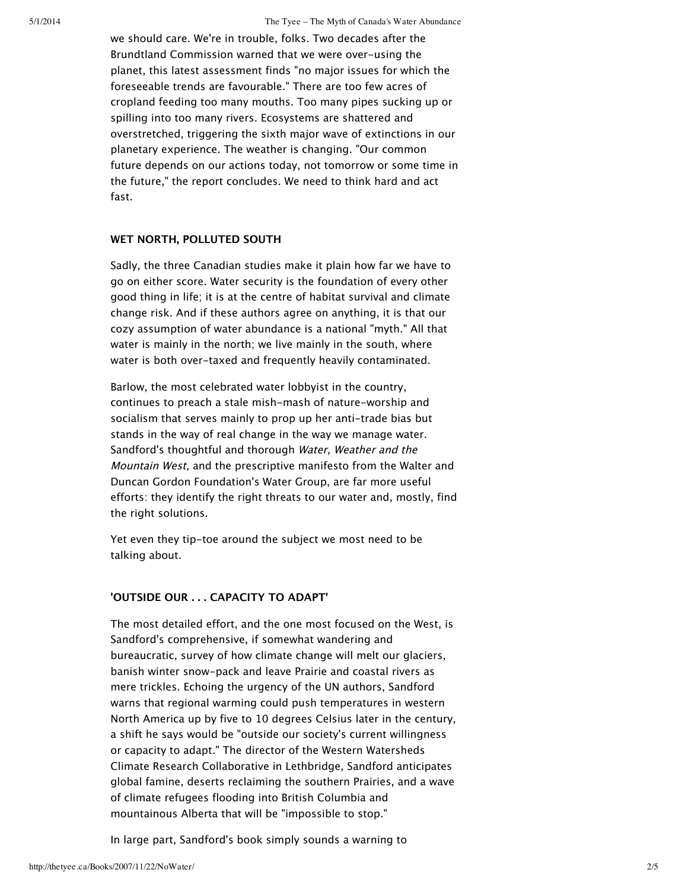we should care. We're in trouble, folks. Two decades after the Brundtland Commission warned that we were over-using the planet, this latest assessment finds "no major issues for which the foreseeable trends are favourable." There are too few acres of cropland feeding too many mouths. Too many pipes sucking up or spilling into too many rivers. Ecosystems are shattered and overstretched, triggering the sixth major wave of extinctions in our planetary experience. The weather is changing. "Our common future depends on our actions today, not tomorrow or some time in the future," the report concludes. We need to think hard and act fast.

#### **WET NORTH, POLLUTED SOUTH**

Sadly, the three Canadian studies make it plain how far we have to go on either score. Water security is the foundation of every other good thing in life; it is at the centre of habitat survival and climate change risk. And if these authors agree on anything, it is that our cozy assumption of water abundance is a national "myth." All that water is mainly in the north; we live mainly in the south, where water is both over-taxed and frequently heavily contaminated.

Barlow, the most celebrated water lobbyist in the country, continues to preach a stale mish-mash of nature-worship and socialism that serves mainly to prop up her anti-trade bias but stands in the way of real change in the way we manage water. Sandford's thoughtful and thorough Water, Weather and the Mountain West, and the prescriptive manifesto from the Walter and Duncan Gordon Foundation's Water Group, are far more useful efforts: they identify the right threats to our water and, mostly, find the right solutions.

Yet even they tip-toe around the subject we most need to be talking about.

#### **'OUTSIDE OUR . . . CAPACITY TO ADAPT'**

The most detailed effort, and the one most focused on the West, is Sandford's comprehensive, if somewhat wandering and bureaucratic, survey of how climate change will melt our glaciers, banish winter snow-pack and leave Prairie and coastal rivers as mere trickles. Echoing the urgency of the UN authors, Sandford warns that regional warming could push temperatures in western North America up by five to 10 degrees Celsius later in the century, a shift he says would be "outside our society's current willingness or capacity to adapt." The director of the Western Watersheds Climate Research Collaborative in Lethbridge, Sandford anticipates global famine, deserts reclaiming the southern Prairies, and a wave of climate refugees flooding into British Columbia and mountainous Alberta that will be "impossible to stop."

In large part, Sandford's book simply sounds a warning to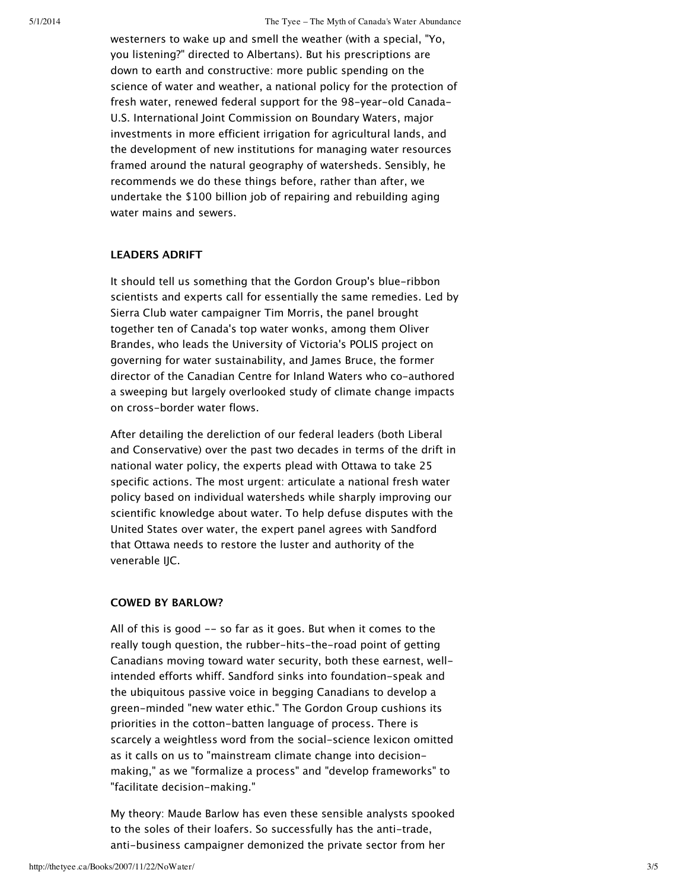westerners to wake up and smell the weather (with a special, "Yo, you listening?" directed to Albertans). But his prescriptions are down to earth and constructive: more public spending on the science of water and weather, a national policy for the protection of fresh water, renewed federal support for the 98-year-old Canada-U.S. International Joint Commission on Boundary Waters, major investments in more efficient irrigation for agricultural lands, and the development of new institutions for managing water resources framed around the natural geography of watersheds. Sensibly, he recommends we do these things before, rather than after, we undertake the \$100 billion job of repairing and rebuilding aging water mains and sewers.

#### **LEADERS ADRIFT**

It should tell us something that the Gordon Group's blue-ribbon scientists and experts call for essentially the same remedies. Led by Sierra Club water campaigner Tim Morris, the panel brought together ten of Canada's top water wonks, among them Oliver Brandes, who leads the University of Victoria's POLIS project on governing for water sustainability, and James Bruce, the former director of the Canadian Centre for Inland Waters who co-authored a sweeping but largely overlooked study of climate change impacts on cross-border water flows.

After detailing the dereliction of our federal leaders (both Liberal and Conservative) over the past two decades in terms of the drift in national water policy, the experts plead with Ottawa to take 25 specific actions. The most urgent: articulate a national fresh water policy based on individual watersheds while sharply improving our scientific knowledge about water. To help defuse disputes with the United States over water, the expert panel agrees with Sandford that Ottawa needs to restore the luster and authority of the venerable IJC.

### **COWED BY BARLOW?**

All of this is good -- so far as it goes. But when it comes to the really tough question, the rubber-hits-the-road point of getting Canadians moving toward water security, both these earnest, wellintended efforts whiff. Sandford sinks into foundation-speak and the ubiquitous passive voice in begging Canadians to develop a green-minded "new water ethic." The Gordon Group cushions its priorities in the cotton-batten language of process. There is scarcely a weightless word from the social-science lexicon omitted as it calls on us to "mainstream climate change into decisionmaking," as we "formalize a process" and "develop frameworks" to "facilitate decision-making."

My theory: Maude Barlow has even these sensible analysts spooked to the soles of their loafers. So successfully has the anti-trade, anti-business campaigner demonized the private sector from her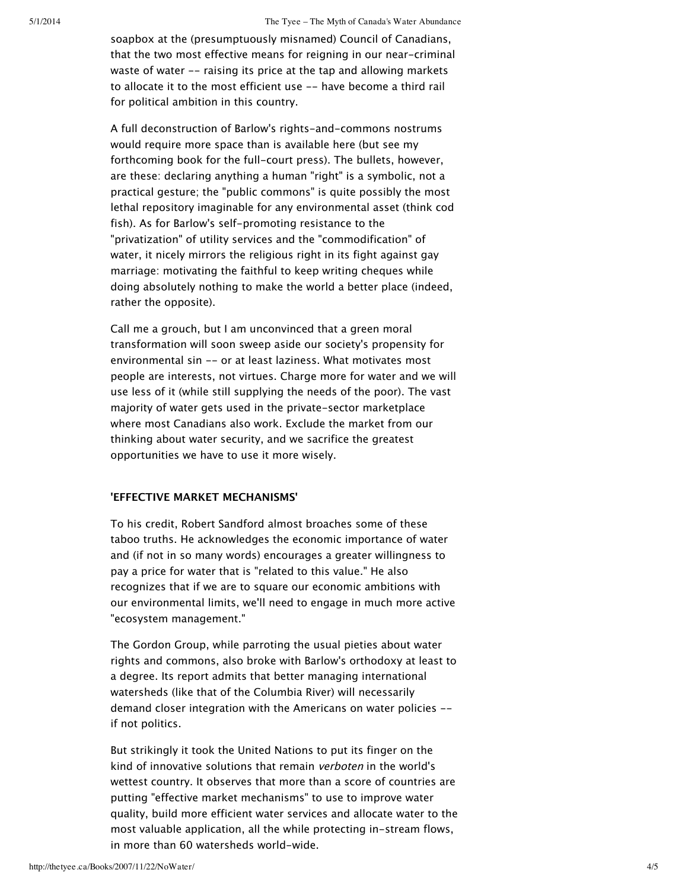soapbox at the (presumptuously misnamed) Council of Canadians, that the two most effective means for reigning in our near-criminal waste of water -- raising its price at the tap and allowing markets to allocate it to the most efficient use -- have become a third rail for political ambition in this country.

A full deconstruction of Barlow's rights-and-commons nostrums would require more space than is available here (but see my forthcoming book for the full-court press). The bullets, however, are these: declaring anything a human "right" is a symbolic, not a practical gesture; the "public commons" is quite possibly the most lethal repository imaginable for any environmental asset (think cod fish). As for Barlow's self-promoting resistance to the "privatization" of utility services and the "commodification" of water, it nicely mirrors the religious right in its fight against gay marriage: motivating the faithful to keep writing cheques while doing absolutely nothing to make the world a better place (indeed, rather the opposite).

Call me a grouch, but I am unconvinced that a green moral transformation will soon sweep aside our society's propensity for environmental sin -- or at least laziness. What motivates most people are interests, not virtues. Charge more for water and we will use less of it (while still supplying the needs of the poor). The vast majority of water gets used in the private-sector marketplace where most Canadians also work. Exclude the market from our thinking about water security, and we sacrifice the greatest opportunities we have to use it more wisely.

#### **'EFFECTIVE MARKET MECHANISMS'**

To his credit, Robert Sandford almost broaches some of these taboo truths. He acknowledges the economic importance of water and (if not in so many words) encourages a greater willingness to pay a price for water that is "related to this value." He also recognizes that if we are to square our economic ambitions with our environmental limits, we'll need to engage in much more active "ecosystem management."

The Gordon Group, while parroting the usual pieties about water rights and commons, also broke with Barlow's orthodoxy at least to a degree. Its report admits that better managing international watersheds (like that of the Columbia River) will necessarily demand closer integration with the Americans on water policies - if not politics.

But strikingly it took the United Nations to put its finger on the kind of innovative solutions that remain verboten in the world's wettest country. It observes that more than a score of countries are putting "effective market mechanisms" to use to improve water quality, build more efficient water services and allocate water to the most valuable application, all the while protecting in-stream flows, in more than 60 watersheds world-wide.